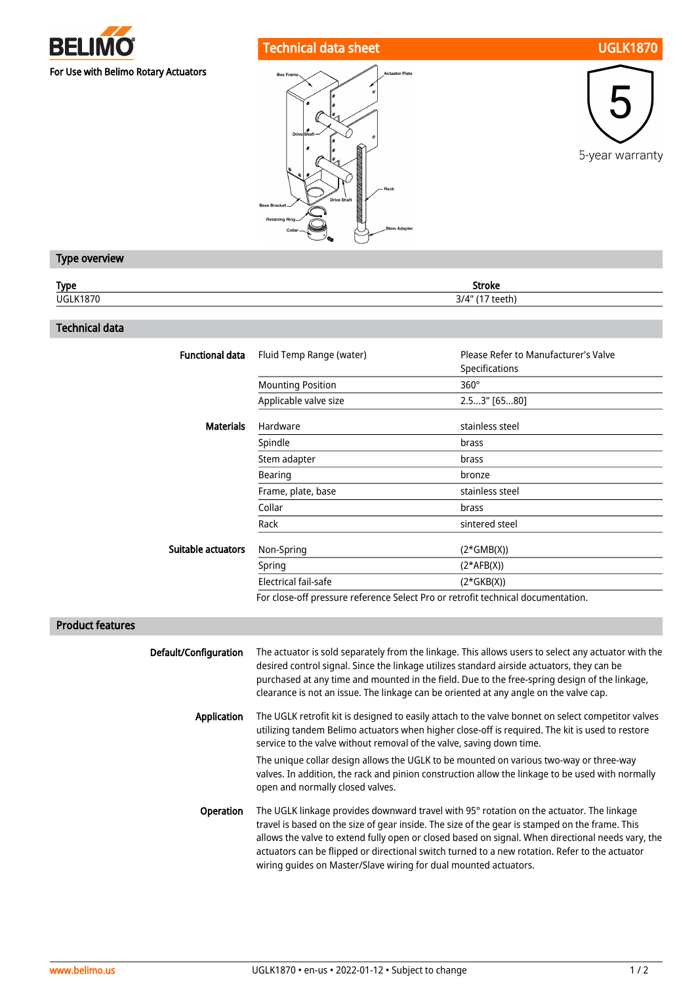

# Technical data sheet UGLK1870





## Type overview

| <b>Type</b>     | <b>Stroke</b>   |
|-----------------|-----------------|
| <b>UGLK1870</b> | 3/4" (17 teeth) |
|                 |                 |

## Technical data

| <b>Functional data</b> | Fluid Temp Range (water) | Please Refer to Manufacturer's Valve<br>Specifications |
|------------------------|--------------------------|--------------------------------------------------------|
|                        | <b>Mounting Position</b> | $360^\circ$                                            |
|                        | Applicable valve size    | 2.53" [6580]                                           |
| <b>Materials</b>       | Hardware                 | stainless steel                                        |
|                        | Spindle                  | brass                                                  |
|                        | Stem adapter             | brass                                                  |
|                        | Bearing                  | bronze                                                 |
|                        | Frame, plate, base       | stainless steel                                        |
|                        | Collar                   | brass                                                  |
|                        | Rack                     | sintered steel                                         |
| Suitable actuators     | Non-Spring               | $(2*GMB(X))$                                           |
|                        | Spring                   | $(2*AFB(X))$                                           |
|                        | Electrical fail-safe     | $(2*GKB(X))$                                           |
|                        |                          |                                                        |

For close-off pressure reference Select Pro or retrofit technical documentation.

## Product features

| Default/Configuration | The actuator is sold separately from the linkage. This allows users to select any actuator with the<br>desired control signal. Since the linkage utilizes standard airside actuators, they can be<br>purchased at any time and mounted in the field. Due to the free-spring design of the linkage,<br>clearance is not an issue. The linkage can be oriented at any angle on the valve cap.                                                                           |
|-----------------------|-----------------------------------------------------------------------------------------------------------------------------------------------------------------------------------------------------------------------------------------------------------------------------------------------------------------------------------------------------------------------------------------------------------------------------------------------------------------------|
| Application           | The UGLK retrofit kit is designed to easily attach to the valve bonnet on select competitor valves<br>utilizing tandem Belimo actuators when higher close-off is required. The kit is used to restore<br>service to the valve without removal of the valve, saving down time.                                                                                                                                                                                         |
|                       | The unique collar design allows the UGLK to be mounted on various two-way or three-way<br>valves. In addition, the rack and pinion construction allow the linkage to be used with normally<br>open and normally closed valves.                                                                                                                                                                                                                                        |
| <b>Operation</b>      | The UGLK linkage provides downward travel with 95° rotation on the actuator. The linkage<br>travel is based on the size of gear inside. The size of the gear is stamped on the frame. This<br>allows the valve to extend fully open or closed based on signal. When directional needs vary, the<br>actuators can be flipped or directional switch turned to a new rotation. Refer to the actuator<br>wiring quides on Master/Slave wiring for dual mounted actuators. |